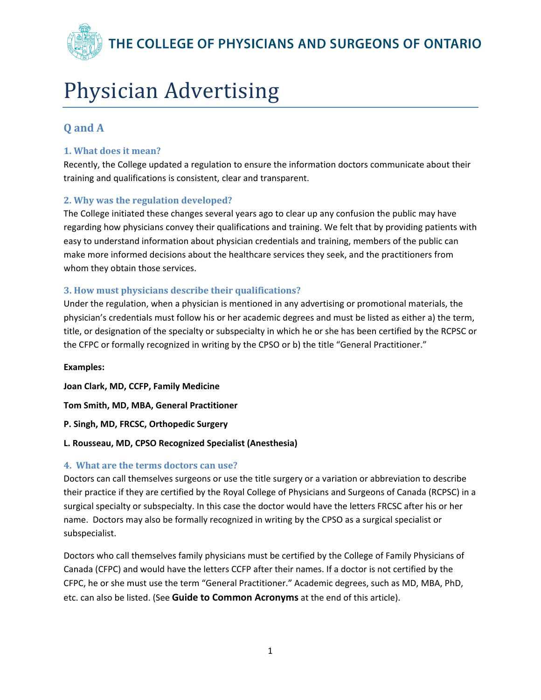THE COLLEGE OF PHYSICIANS AND SURGEONS OF ONTARIO

# Physician Advertising

# **Q and A**

# **1. What does it mean?**

Recently, the College updated a regulation to ensure the information doctors communicate about their training and qualifications is consistent, clear and transparent.

## **2. Why was the regulation developed?**

The College initiated these changes several years ago to clear up any confusion the public may have regarding how physicians convey their qualifications and training. We felt that by providing patients with easy to understand information about physician credentials and training, members of the public can make more informed decisions about the healthcare services they seek, and the practitioners from whom they obtain those services.

## **3. How must physicians describe their qualifications?**

Under the regulation, when a physician is mentioned in any advertising or promotional materials, the physician's credentials must follow his or her academic degrees and must be listed as either a) the term, title, or designation of the specialty or subspecialty in which he or she has been certified by the RCPSC or the CFPC or formally recognized in writing by the CPSO or b) the title "General Practitioner."

**Examples: Joan Clark, MD, CCFP, Family Medicine Tom Smith, MD, MBA, General Practitioner P. Singh, MD, FRCSC, Orthopedic Surgery**

#### **L. Rousseau, MD, CPSO Recognized Specialist (Anesthesia)**

#### **4. What are the terms doctors can use?**

Doctors can call themselves surgeons or use the title surgery or a variation or abbreviation to describe their practice if they are certified by the Royal College of Physicians and Surgeons of Canada (RCPSC) in a surgical specialty or subspecialty. In this case the doctor would have the letters FRCSC after his or her name. Doctors may also be formally recognized in writing by the CPSO as a surgical specialist or subspecialist.

Doctors who call themselves family physicians must be certified by the College of Family Physicians of Canada (CFPC) and would have the letters CCFP after their names. If a doctor is not certified by the CFPC, he or she must use the term "General Practitioner." Academic degrees, such as MD, MBA, PhD, etc. can also be listed. (See **Guide to Common Acronyms** at the end of this article).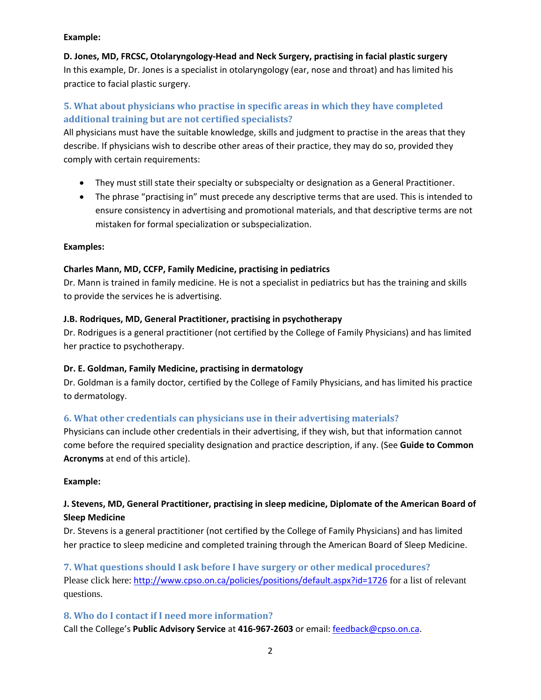#### **Example:**

**D. Jones, MD, FRCSC, Otolaryngology‐Head and Neck Surgery, practising in facial plastic surgery** In this example, Dr. Jones is a specialist in otolaryngology (ear, nose and throat) and has limited his practice to facial plastic surgery.

# **5. What about physicians who practise in specific areas in which they have completed additional training but are not certified specialists?**

All physicians must have the suitable knowledge, skills and judgment to practise in the areas that they describe. If physicians wish to describe other areas of their practice, they may do so, provided they comply with certain requirements:

- They must still state their specialty or subspecialty or designation as a General Practitioner.
- The phrase "practising in" must precede any descriptive terms that are used. This is intended to ensure consistency in advertising and promotional materials, and that descriptive terms are not mistaken for formal specialization or subspecialization.

#### **Examples:**

#### **Charles Mann, MD, CCFP, Family Medicine, practising in pediatrics**

Dr. Mann is trained in family medicine. He is not a specialist in pediatrics but has the training and skills to provide the services he is advertising.

#### **J.B. Rodriques, MD, General Practitioner, practising in psychotherapy**

Dr. Rodrigues is a general practitioner (not certified by the College of Family Physicians) and has limited her practice to psychotherapy.

#### **Dr. E. Goldman, Family Medicine, practising in dermatology**

Dr. Goldman is a family doctor, certified by the College of Family Physicians, and has limited his practice to dermatology.

#### **6. What other credentials can physicians use in their advertising materials?**

Physicians can include other credentials in their advertising, if they wish, but that information cannot come before the required speciality designation and practice description, if any. (See **Guide to Common Acronyms** at end of this article).

#### **Example:**

# **J. Stevens, MD, General Practitioner, practising in sleep medicine, Diplomate of the American Board of Sleep Medicine**

Dr. Stevens is a general practitioner (not certified by the College of Family Physicians) and has limited her practice to sleep medicine and completed training through the American Board of Sleep Medicine.

**7. What questions should I ask before I have surgery or other medical procedures?** Please click here: http://www.cpso.on.ca/policies/positions/default.aspx?id=1726 for a list of relevant questions.

#### **8. Who do I contact if I need more information?**

Call the College's **Public Advisory Service** at **416‐967‐2603** or email: feedback@cpso.on.ca.